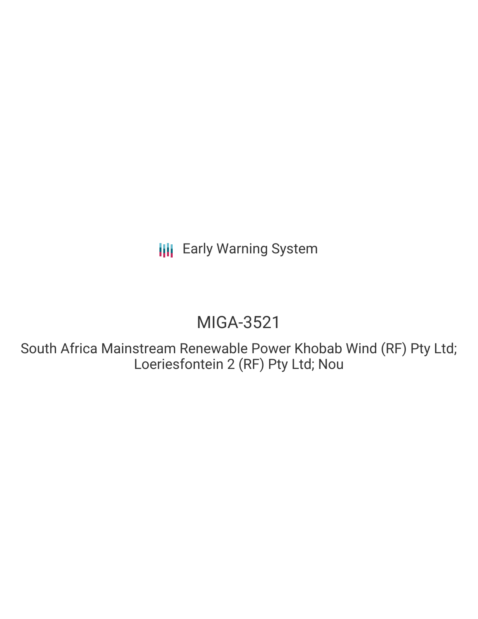**III** Early Warning System

# MIGA-3521

South Africa Mainstream Renewable Power Khobab Wind (RF) Pty Ltd; Loeriesfontein 2 (RF) Pty Ltd; Nou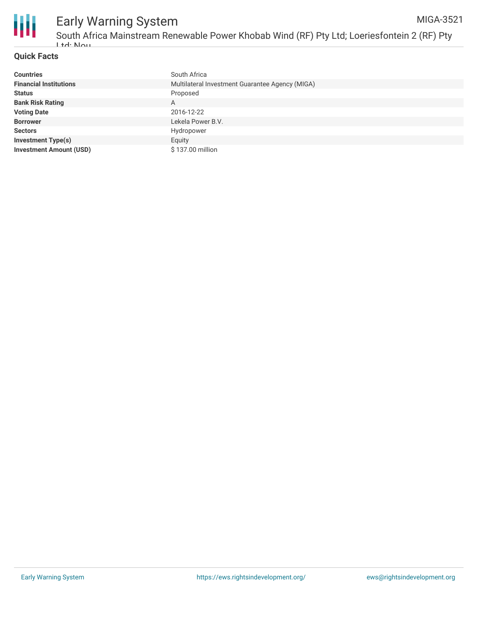

#### **Quick Facts**

| <b>Countries</b>               | South Africa                                    |
|--------------------------------|-------------------------------------------------|
| <b>Financial Institutions</b>  | Multilateral Investment Guarantee Agency (MIGA) |
| <b>Status</b>                  | Proposed                                        |
| <b>Bank Risk Rating</b>        | A                                               |
| <b>Voting Date</b>             | 2016-12-22                                      |
| <b>Borrower</b>                | Lekela Power B.V.                               |
| <b>Sectors</b>                 | Hydropower                                      |
| <b>Investment Type(s)</b>      | Equity                                          |
| <b>Investment Amount (USD)</b> | \$137.00 million                                |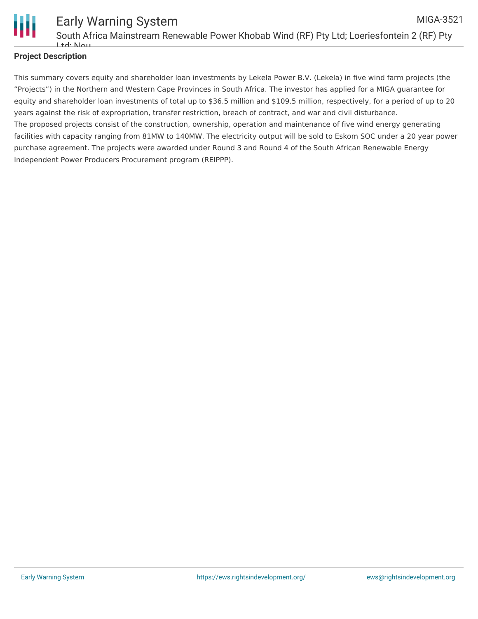

### **Project Description**

This summary covers equity and shareholder loan investments by Lekela Power B.V. (Lekela) in five wind farm projects (the "Projects") in the Northern and Western Cape Provinces in South Africa. The investor has applied for a MIGA guarantee for equity and shareholder loan investments of total up to \$36.5 million and \$109.5 million, respectively, for a period of up to 20 years against the risk of expropriation, transfer restriction, breach of contract, and war and civil disturbance. The proposed projects consist of the construction, ownership, operation and maintenance of five wind energy generating facilities with capacity ranging from 81MW to 140MW. The electricity output will be sold to Eskom SOC under a 20 year power purchase agreement. The projects were awarded under Round 3 and Round 4 of the South African Renewable Energy Independent Power Producers Procurement program (REIPPP).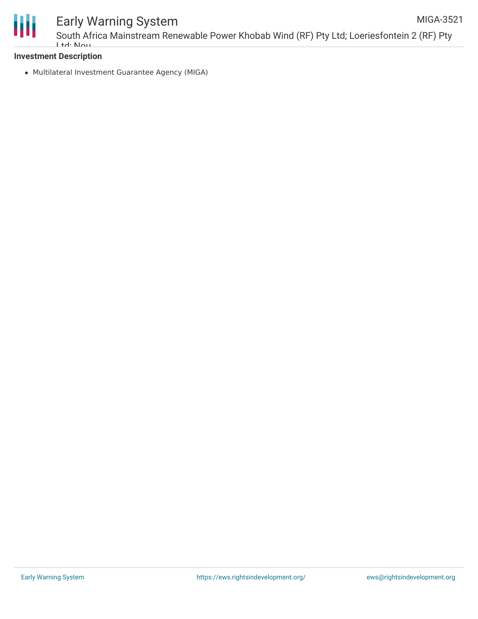

## Early Warning System

#### **Investment Description**

Multilateral Investment Guarantee Agency (MIGA)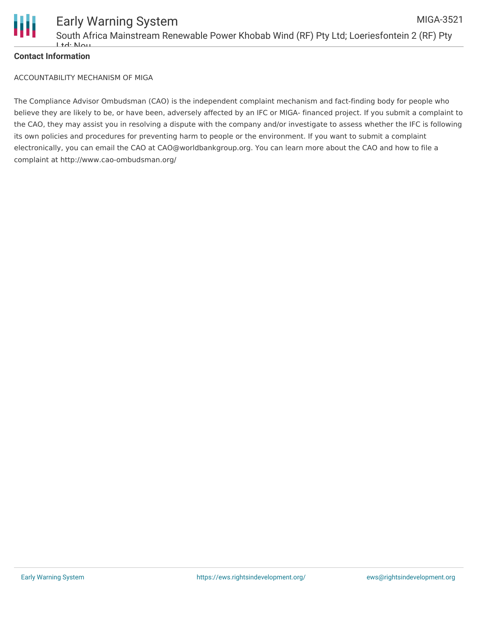

#### **Contact Information**

ACCOUNTABILITY MECHANISM OF MIGA

The Compliance Advisor Ombudsman (CAO) is the independent complaint mechanism and fact-finding body for people who believe they are likely to be, or have been, adversely affected by an IFC or MIGA- financed project. If you submit a complaint to the CAO, they may assist you in resolving a dispute with the company and/or investigate to assess whether the IFC is following its own policies and procedures for preventing harm to people or the environment. If you want to submit a complaint electronically, you can email the CAO at CAO@worldbankgroup.org. You can learn more about the CAO and how to file a complaint at http://www.cao-ombudsman.org/